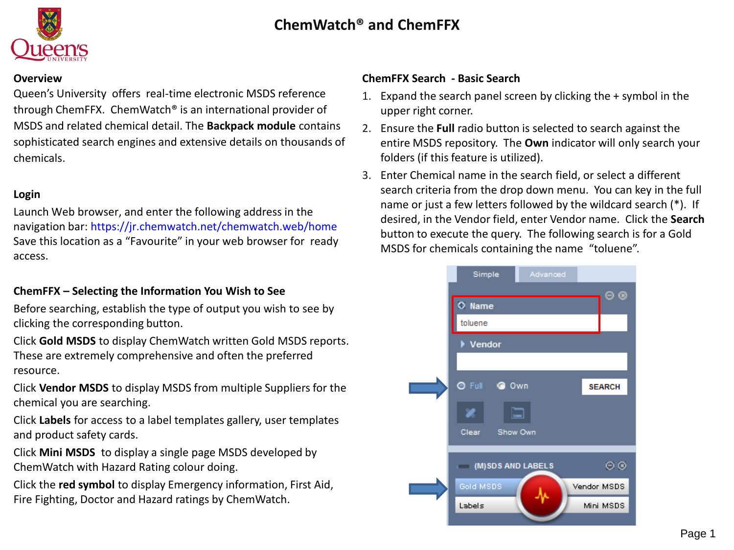

#### **Overview**

Queen's University offers real-time electronic MSDS reference through ChemFFX. ChemWatch® is an international provider of MSDS and related chemical detail. The **Backpack module** contains sophisticated search engines and extensive details on thousands of chemicals.

### **Login**

Launch Web browser, and enter the following address in the navigation bar: <https://jr.chemwatch.net/chemwatch.web/home> Save this location as a "Favourite" in your web browser for ready access.

## **ChemFFX – Selecting the Information You Wish to See**

Before searching, establish the type of output you wish to see by clicking the corresponding button.

Click **Gold MSDS** to display ChemWatch written Gold MSDS reports. These are extremely comprehensive and often the preferred resource.

Click **Vendor MSDS** to display MSDS from multiple Suppliers for the chemical you are searching.

Click **Labels** for access to a label templates gallery, user templates and product safety cards.

Click **Mini MSDS** to display a single page MSDS developed by ChemWatch with Hazard Rating colour doing.

Click the **red symbol** to display Emergency information, First Aid, Fire Fighting, Doctor and Hazard ratings by ChemWatch.

### **ChemFFX Search - Basic Search**

- 1. Expand the search panel screen by clicking the + symbol in the upper right corner.
- 2. Ensure the **Full** radio button is selected to search against the entire MSDS repository. The **Own** indicator will only search your folders (if this feature is utilized).
- 3. Enter Chemical name in the search field, or select a different search criteria from the drop down menu. You can key in the full name or just a few letters followed by the wildcard search (\*). If desired, in the Vendor field, enter Vendor name. Click the **Search** button to execute the query. The following search is for a Gold MSDS for chemicals containing the name "toluene".